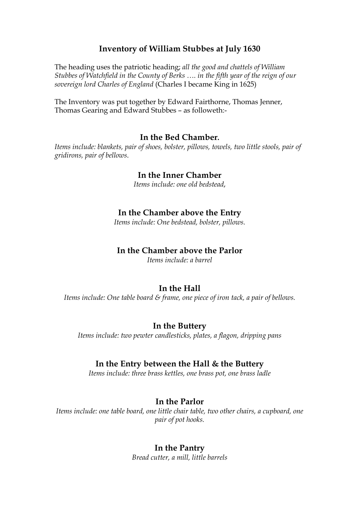# **Inventory of William Stubbes at July 1630**

The heading uses the patriotic heading; *all the good and chattels of William Stubbes of Watchfield in the County of Berks …. in the fifth year of the reign of our sovereign lord Charles of England* (Charles I became King in 1625)

The Inventory was put together by Edward Fairthorne, Thomas Jenner, Thomas Gearing and Edward Stubbes – as followeth:-

### **In the Bed Chamber.**

*Items include: blankets, pair of shoes, bolster, pillows, towels, two little stools, pair of gridirons, pair of bellows*.

### **In the Inner Chamber**

*Items include: one old bedstead*,

### **In the Chamber above the Entry**

*Items include: One bedstead, bolster, pillows.*

### **In the Chamber above the Parlor**

*Items include: a barrel*

### **In the Hall**

*Items include: One table board & frame, one piece of iron tack, a pair of bellows.*

#### **In the Buttery**

*Items include: two pewter candlesticks, plates, a flagon, dripping pans*

#### **In the Entry between the Hall & the Buttery**

*Items include: three brass kettles, one brass pot, one brass ladle*

### **In the Parlor**

*Items include: one table board, one little chair table, two other chairs, a cupboard, one pair of pot hooks.*

### **In the Pantry**

*Bread cutter, a mill, little barrels*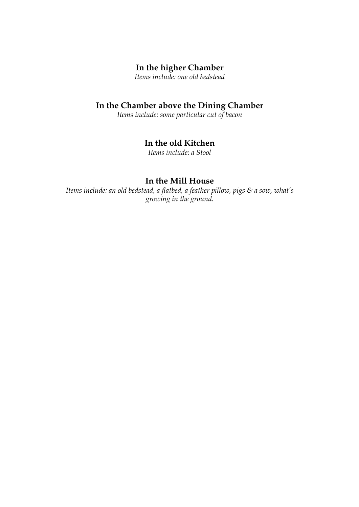# **In the higher Chamber**

*Items include: one old bedstead*

# **In the Chamber above the Dining Chamber**

*Items include: some particular cut of bacon*

# **In the old Kitchen**

*Items include: a Stool*

# **In the Mill House**

*Items include: an old bedstead, a flatbed, a feather pillow, pigs & a sow, what's growing in the ground.*